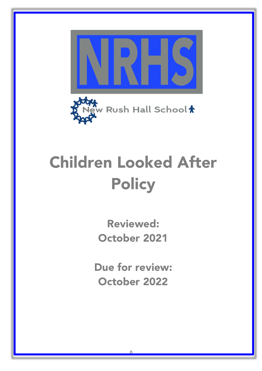

# Children Looked After **Policy**

Reviewed: October 2021

Due for review: October 2022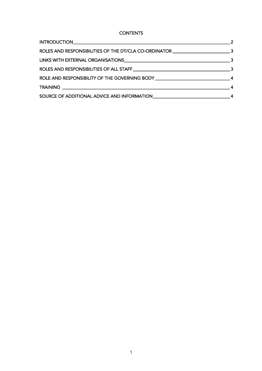**CONTENTS** 

| ROLES AND RESPONSIBILITIES OF THE DT/CLA CO-ORDINATOR __________________________3  |  |
|------------------------------------------------------------------------------------|--|
|                                                                                    |  |
|                                                                                    |  |
| ROLE AND RESPONSIBILITY OF THE GOVERNING BODY ___________________________________4 |  |
|                                                                                    |  |
|                                                                                    |  |
|                                                                                    |  |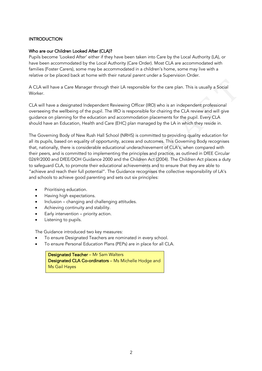## **INTRODUCTION**

#### Who are our Children Looked After (CLA)?

Pupils become 'Looked After' either if they have been taken into Care by the Local Authority (LA), or have been accommodated by the Local Authority (Care Order). Most CLA are accommodated with families (Foster Carers), some may be accommodated in a children's home, some may live with a relative or be placed back at home with their natural parent under a Supervision Order.

A CLA will have a Care Manager through their LA responsible for the care plan. This is usually a Social Worker.

CLA will have a designated Independent Reviewing Officer (IRO) who is an independent professional overseeing the wellbeing of the pupil. The IRO is responsible for chairing the CLA review and will give guidance on planning for the education and accommodation placements for the pupil. Every CLA should have an Education, Health and Care (EHC) plan managed by the LA in which they reside in.

both the care plan. This is usually a Social<br>ficer (IRO) who is an independent professional<br>msible for chairing the CLA review and will give<br>dation placements for the pupil. Every CLA<br>managed by the LA in which they reside The Governing Body of New Rush Hall School (NRHS) is committed to providing quality education for all its pupils, based on equality of opportunity, access and outcomes. This Governing Body recognises that, nationally, there is considerable educational underachievement of CLA's, when compared with their peers, and is committed to implementing the principles and practice, as outlined in DfEE Circular 0269/2000 and DfEE/DOH Guidance 2000 and the Children Act (2004). The Children Act places a duty to safeguard CLA, to promote their educational achievements and to ensure that they are able to "achieve and reach their full potential". The Guidance recognises the collective responsibility of LA's and schools to achieve good parenting and sets out six principles:

- Prioritising education.
- Having high expectations.
- Inclusion changing and challenging attitudes.
- Achieving continuity and stability.
- Early intervention priority action.
- Listening to pupils.

The Guidance introduced two key measures:

- To ensure Designated Teachers are nominated in every school.
- To ensure Personal Education Plans (PEPs) are in place for all CLA.

Designated Teacher – Mr Sam Walters Designated CLA Co-ordinators – Ms Michelle Hodge and Ms Gail Hayes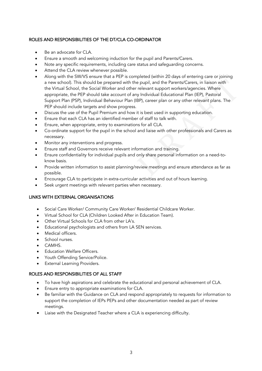# ROLES AND RESPONSIBILITIES OF THE DT/CLA CO-ORDINATOR

- Be an advocate for CLA.
- Ensure a smooth and welcoming induction for the pupil and Parents/Carers.
- Note any specific requirements, including care status and safequarding concerns.
- Attend the CLA review whenever possible.
- requippoint and the Parents/Carens, in liaison with<br>relevant support workers/agencies. Where<br>y Individual Educational Plan (IEP), Pastoral<br>BP), career plan or any other relevant plans. The<br>it is best used in supporting edu • Along with the SW/VS ensure that a PEP is completed (within 20 days of entering care or joining a new school). This should be prepared with the pupil, and the Parents/Carers, in liaison with the Virtual School, the Social Worker and other relevant support workers/agencies. Where appropriate, the PEP should take account of any Individual Educational Plan (IEP), Pastoral Support Plan (PSP), Individual Behaviour Plan (IBP), career plan or any other relevant plans. The PEP should include targets and show progress.
- Discuss the use of the Pupil Premium and how it is best used in supporting education.
- Ensure that each CLA has an identified member of staff to talk with.
- Ensure, when appropriate, entry to examinations for all CLA.
- Co-ordinate support for the pupil in the school and liaise with other professionals and Carers as necessary.
- Monitor any interventions and progress.
- Ensure staff and Governors receive relevant information and training.
- Ensure confidentiality for individual pupils and only share personal information on a need-toknow basis.
- Provide written information to assist planning/review meetings and ensure attendance as far as possible.
- Encourage CLA to participate in extra-curricular activities and out of hours learning.
- Seek urgent meetings with relevant parties when necessary.

# LINKS WITH EXTERNAL ORGANISATIONS

- Social Care Worker/ Community Care Worker/ Residential Childcare Worker.
- Virtual School for CLA (Children Looked After in Education Team).
- Other Virtual Schools for CLA from other LA's.
- Educational psychologists and others from LA SEN services.
- Medical officers.
- School nurses.
- CAMHS.
- **Education Welfare Officers.**
- Youth Offending Service/Police.
- External Learning Providers.

## ROLES AND RESPONSIBILITIES OF ALL STAFF

- To have high aspirations and celebrate the educational and personal achievement of CLA.
- Ensure entry to appropriate examinations for CLA.
- Be familiar with the Guidance on CLA and respond appropriately to requests for information to support the completion of IEPs PEPs and other documentation needed as part of review meetings.
- Liaise with the Designated Teacher where a CLA is experiencing difficulty.